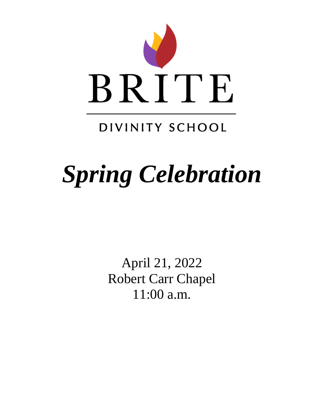

# DIVINITY SCHOOL

# *Spring Celebration*

April 21, 2022 Robert Carr Chapel 11:00 a.m.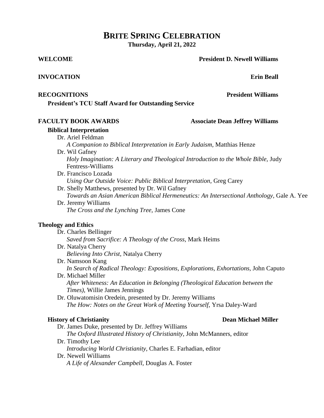## **BRITE SPRING CELEBRATION Thursday, April 21, 2022**

**WELCOME President D. Newell Williams**

#### **INVOCATION Erin Beall**

**President's TCU Staff Award for Outstanding Service**

## **FACULTY BOOK AWARDS Associate Dean Jeffrey Williams**

## **Biblical Interpretation**

- Dr. Ariel Feldman
	- *A Companion to Biblical Interpretation in Early Judaism,* Matthias Henze
	- Dr. Wil Gafney
		- *Holy Imagination: A Literary and Theological Introduction to the Whole Bible,* Judy Fentress-Williams
	- Dr. Francisco Lozada *Using Our Outside Voice: Public Biblical Interpretation,* Greg Carey
	- Dr. Shelly Matthews, presented by Dr. Wil Gafney *Towards an Asian American Biblical Hermeneutics: An Intersectional Anthology,* Gale A. Yee
	- Dr. Jeremy Williams *The Cross and the Lynching Tree,* James Cone

## **Theology and Ethics**

Dr. Charles Bellinger *Saved from Sacrifice: A Theology of the Cross,* Mark Heims Dr. Natalya Cherry

*Believing Into Christ*, Natalya Cherry

- Dr. Namsoon Kang *In Search of Radical Theology: Expositions, Explorations, Exhortations,* John Caputo Dr. Michael Miller
	- *After Whiteness: An Education in Belonging (Theological Education between the Times),* Willie James Jennings
- Dr. Oluwatomisin Oredein, presented by Dr. Jeremy Williams *The How: Notes on the Great Work of Meeting Yourself,* Yrsa Daley-Ward

## **History of Christianity Dean Michael Miller**

- Dr. James Duke, presented by Dr. Jeffrey Williams
- *The Oxford Illustrated History of Christianity,* John McManners, editor Dr. Timothy Lee
- *Introducing World Christianity,* Charles E. Farhadian, editor Dr. Newell Williams
	- *A Life of Alexander Campbell,* Douglas A. Foster

**RECOGNITIONS President Williams**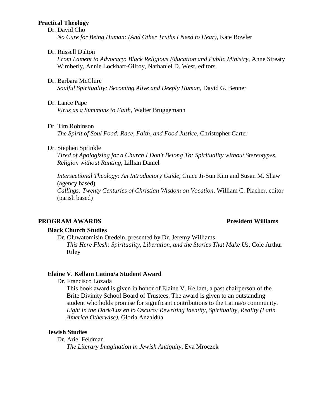#### **Practical Theology**

#### Dr. David Cho

*No Cure for Being Human: (And Other Truths I Need to Hear),* Kate Bowler

#### Dr. Russell Dalton

*From Lament to Advocacy: Black Religious Education and Public Ministry,* Anne Streaty Wimberly, Annie Lockhart-Gilroy, Nathaniel D. West, editors

#### Dr. Barbara McClure

*Soulful Spirituality: Becoming Alive and Deeply Human,* David G. Benner

#### Dr. Lance Pape

*Virus as a Summons to Faith,* Walter Bruggemann

#### Dr. Tim Robinson

*The Spirit of Soul Food: Race, Faith, and Food Justice,* Christopher Carter

#### Dr. Stephen Sprinkle

*Tired of Apologizing for a Church I Don't Belong To: Spirituality without Stereotypes, Religion without Ranting,* Lillian Daniel

*Intersectional Theology: An Introductory Guide,* Grace Ji-Sun Kim and Susan M. Shaw (agency based) *Callings: Twenty Centuries of Christian Wisdom on Vocation,* William C. Placher, editor

(parish based)

### **PROGRAM AWARDS President Williams**

#### **Black Church Studies**

Dr. Oluwatomisin Oredein, presented by Dr. Jeremy Williams

*This Here Flesh: Spirituality, Liberation, and the Stories That Make Us,* Cole Arthur Riley

### **Elaine V. Kellam Latino/a Student Award**

Dr. Francisco Lozada

This book award is given in honor of Elaine V. Kellam, a past chairperson of the Brite Divinity School Board of Trustees. The award is given to an outstanding student who holds promise for significant contributions to the Latina/o community. *Light in the Dark/Luz en lo Oscuro: Rewriting Identity, Spirituality, Reality (Latin America Otherwise),* Gloria Anzaldúa

#### **Jewish Studies**

Dr. Ariel Feldman

*The Literary Imagination in Jewish Antiquity,* Eva Mroczek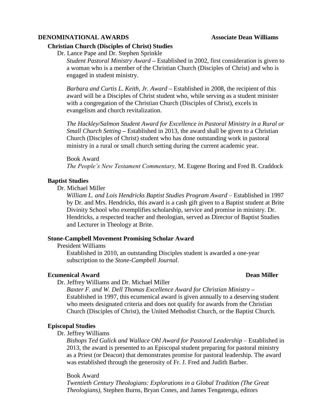#### **DENOMINATIONAL AWARDS** Associate Dean Williams

#### **Christian Church (Disciples of Christ) Studies**

Dr. Lance Pape and Dr. Stephen Sprinkle

*Student Pastoral Ministry Award* **–** Established in 2002, first consideration is given to a woman who is a member of the Christian Church (Disciples of Christ) and who is engaged in student ministry.

*Barbara and Curtis L. Keith, Jr. Award* **–** Established in 2008, the recipient of this award will be a Disciples of Christ student who, while serving as a student minister with a congregation of the Christian Church (Disciples of Christ), excels in evangelism and church revitalization.

*The Hackley/Salmon Student Award for Excellence in Pastoral Ministry in a Rural or Small Church Setting* **–** Established in 2013, the award shall be given to a Christian Church (Disciples of Christ) student who has done outstanding work in pastoral ministry in a rural or small church setting during the current academic year.

Book Award *The People's New Testament Commentary,* M. Eugene Boring and Fred B. Craddock

#### **Baptist Studies**

Dr. Michael Miller

*William L. and Lois Hendricks Baptist Studies Program Award* – Established in 1997 by Dr. and Mrs. Hendricks, this award is a cash gift given to a Baptist student at Brite Divinity School who exemplifies scholarship, service and promise in ministry. Dr. Hendricks, a respected teacher and theologian, served as Director of Baptist Studies and Lecturer in Theology at Brite.

#### **Stone-Campbell Movement Promising Scholar Award**

President Williams

Established in 2010, an outstanding Disciples student is awarded a one-year subscription to the *Stone-Campbell Journal*.

#### **Ecumenical Award Dean Miller**

Dr. Jeffrey Williams and Dr. Michael Miller

*Baxter F. and W. Dell Thomas Excellence Award for Christian Ministry* **–** Established in 1997, this ecumenical award is given annually to a deserving student who meets designated criteria and does not qualify for awards from the Christian Church (Disciples of Christ), the United Methodist Church, or the Baptist Church.

#### **Episcopal Studies**

Dr. Jeffrey Williams

*Bishops Ted Gulick and Wallace Ohl Award for Pastoral Leadership* – Established in 2013, the award is presented to an Episcopal student preparing for pastoral ministry as a Priest (or Deacon) that demonstrates promise for pastoral leadership. The award was established through the generosity of Fr. J. Fred and Judith Barber.

Book Award *Twentieth Century Theologians: Explorations in a Global Tradition (The Great Theologians),* Stephen Burns, Bryan Cones, and James Tengatenga, editors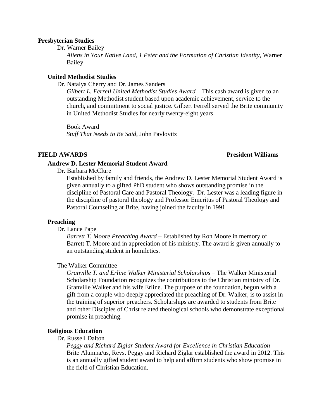#### **Presbyterian Studies**

Dr. Warner Bailey *Aliens in Your Native Land, 1 Peter and the Formation of Christian Identity,* Warner Bailey

#### **United Methodist Studies**

Dr. Natalya Cherry and Dr. James Sanders

*Gilbert L. Ferrell United Methodist Studies Award* **–** This cash award is given to an outstanding Methodist student based upon academic achievement, service to the church, and commitment to social justice. Gilbert Ferrell served the Brite community in United Methodist Studies for nearly twenty-eight years.

Book Award *Stuff That Needs to Be Said,* John Pavlovitz

#### **FIELD AWARDS President Williams**

#### **Andrew D. Lester Memorial Student Award**

Dr. Barbara McClure

Established by family and friends, the Andrew D. Lester Memorial Student Award is given annually to a gifted PhD student who shows outstanding promise in the discipline of Pastoral Care and Pastoral Theology. Dr. Lester was a leading figure in the discipline of pastoral theology and Professor Emeritus of Pastoral Theology and Pastoral Counseling at Brite, having joined the faculty in 1991.

#### **Preaching**

#### Dr. Lance Pape

*Barrett T. Moore Preaching Award* – Established by Ron Moore in memory of Barrett T. Moore and in appreciation of his ministry. The award is given annually to an outstanding student in homiletics.

#### The Walker Committee

*Granville T. and Erline Walker Ministerial Scholarships* – The Walker Ministerial Scholarship Foundation recognizes the contributions to the Christian ministry of Dr. Granville Walker and his wife Erline. The purpose of the foundation, begun with a gift from a couple who deeply appreciated the preaching of Dr. Walker, is to assist in the training of superior preachers. Scholarships are awarded to students from Brite and other Disciples of Christ related theological schools who demonstrate exceptional promise in preaching.

#### **Religious Education**

#### Dr. Russell Dalton

*Peggy and Richard Ziglar Student Award for Excellence in Christian Education –* Brite Alumna/us, Revs. Peggy and Richard Ziglar established the award in 2012. This is an annually gifted student award to help and affirm students who show promise in the field of Christian Education.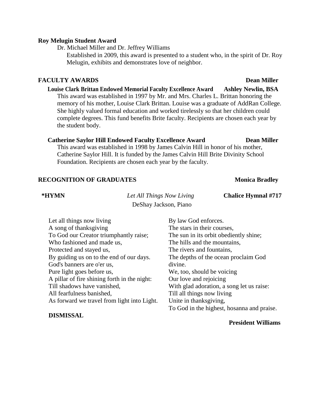#### **Roy Melugin Student Award**

Dr. Michael Miller and Dr. Jeffrey Williams

Established in 2009, this award is presented to a student who, in the spirit of Dr. Roy Melugin, exhibits and demonstrates love of neighbor.

#### **FACULTY AWARDS Dean Miller**

### **Louise Clark Brittan Endowed Memorial Faculty Excellence Award Ashley Newlin, BSA** This award was established in 1997 by Mr. and Mrs. Charles L. Brittan honoring the memory of his mother, Louise Clark Brittan. Louise was a graduate of AddRan College. She highly valued formal education and worked tirelessly so that her children could complete degrees. This fund benefits Brite faculty. Recipients are chosen each year by the student body.

#### **Catherine Saylor Hill Endowed Faculty Excellence Award Dean Miller**

This award was established in 1998 by James Calvin Hill in honor of his mother, Catherine Saylor Hill. It is funded by the James Calvin Hill Brite Divinity School Foundation. Recipients are chosen each year by the faculty.

#### **RECOGNITION OF GRADUATES Monica Bradley**

**\*HYMN** *Let All Things Now Living* **Chalice Hymnal #717** DeShay Jackson, Piano

| Let all things now living                    | By law God enforces.                       |
|----------------------------------------------|--------------------------------------------|
| A song of thanksgiving                       | The stars in their courses,                |
| To God our Creator triumphantly raise;       | The sun in its orbit obediently shine;     |
| Who fashioned and made us,                   | The hills and the mountains,               |
| Protected and stayed us,                     | The rivers and fountains,                  |
| By guiding us on to the end of our days.     | The depths of the ocean proclaim God       |
| God's banners are o'er us,                   | divine.                                    |
| Pure light goes before us,                   | We, too, should be voicing                 |
| A pillar of fire shining forth in the night: | Our love and rejoicing                     |
| Till shadows have vanished,                  | With glad adoration, a song let us raise:  |
| All fearfulness banished,                    | Till all things now living                 |
| As forward we travel from light into Light.  | Unite in thanksgiving,                     |
|                                              | To God in the highest, hosanna and praise. |
| <b>DISMISSAL</b>                             |                                            |

#### **President Williams**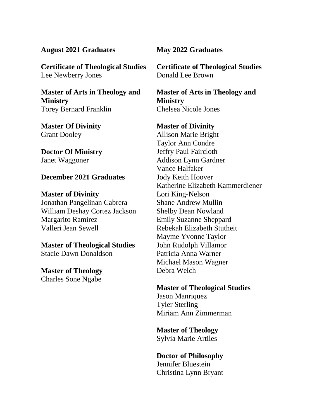## **August 2021 Graduates**

**Certificate of Theological Studies** Lee Newberry Jones

**Master of Arts in Theology and Ministry** Torey Bernard Franklin

**Master Of Divinity** Grant Dooley

**Doctor Of Ministry** Janet Waggoner

## **December 2021 Graduates**

**Master of Divinity** Jonathan Pangelinan Cabrera William Deshay Cortez Jackson Margarito Ramirez Valleri Jean Sewell

**Master of Theological Studies** Stacie Dawn Donaldson

**Master of Theology** Charles Sone Ngabe

## **May 2022 Graduates**

**Certificate of Theological Studies** Donald Lee Brown

**Master of Arts in Theology and Ministry** Chelsea Nicole Jones

**Master of Divinity** Allison Marie Bright Taylor Ann Condre Jeffry Paul Faircloth Addison Lynn Gardner Vance Halfaker Jody Keith Hoover Katherine Elizabeth Kammerdiener Lori King-Nelson Shane Andrew Mullin Shelby Dean Nowland Emily Suzanne Sheppard Rebekah Elizabeth Stutheit Mayme Yvonne Taylor John Rudolph Villamor Patricia Anna Warner Michael Mason Wagner Debra Welch

**Master of Theological Studies** Jason Manriquez Tyler Sterling Miriam Ann Zimmerman

**Master of Theology**  Sylvia Marie Artiles

**Doctor of Philosophy**  Jennifer Bluestein Christina Lynn Bryant